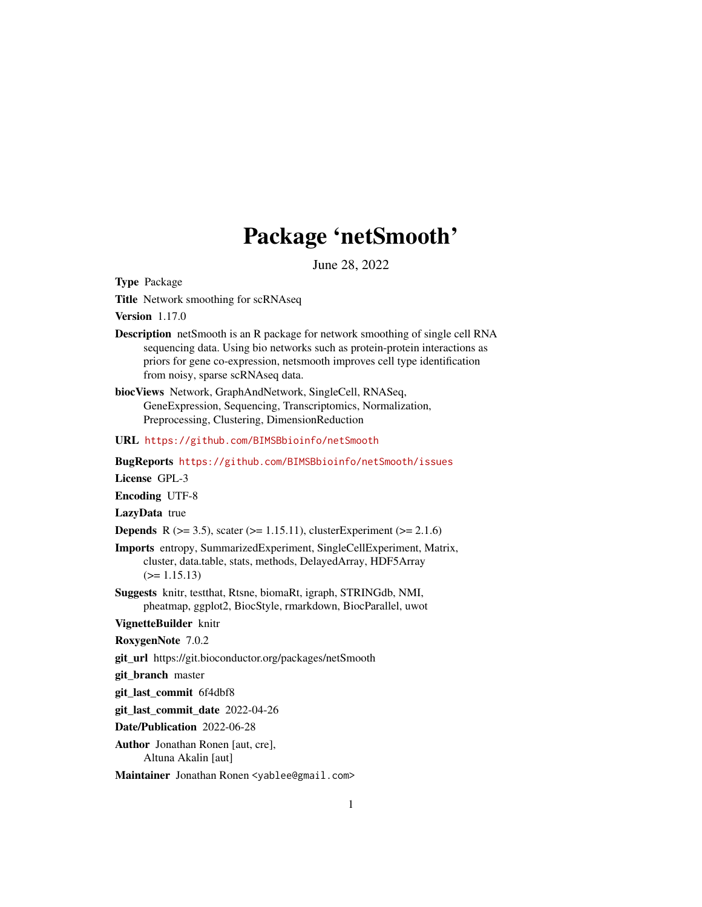# Package 'netSmooth'

June 28, 2022

Type Package

Title Network smoothing for scRNAseq

Version 1.17.0

- Description netSmooth is an R package for network smoothing of single cell RNA sequencing data. Using bio networks such as protein-protein interactions as priors for gene co-expression, netsmooth improves cell type identification from noisy, sparse scRNAseq data.
- biocViews Network, GraphAndNetwork, SingleCell, RNASeq, GeneExpression, Sequencing, Transcriptomics, Normalization, Preprocessing, Clustering, DimensionReduction

URL <https://github.com/BIMSBbioinfo/netSmooth>

BugReports <https://github.com/BIMSBbioinfo/netSmooth/issues>

License GPL-3

Encoding UTF-8

LazyData true

**Depends** R ( $>= 3.5$ ), scater ( $>= 1.15.11$ ), clusterExperiment ( $>= 2.1.6$ )

- Imports entropy, SummarizedExperiment, SingleCellExperiment, Matrix, cluster, data.table, stats, methods, DelayedArray, HDF5Array  $(>= 1.15.13)$
- Suggests knitr, testthat, Rtsne, biomaRt, igraph, STRINGdb, NMI, pheatmap, ggplot2, BiocStyle, rmarkdown, BiocParallel, uwot

VignetteBuilder knitr

RoxygenNote 7.0.2

git\_url https://git.bioconductor.org/packages/netSmooth

git\_branch master

git\_last\_commit 6f4dbf8

git last commit date 2022-04-26

Date/Publication 2022-06-28

Author Jonathan Ronen [aut, cre], Altuna Akalin [aut]

Maintainer Jonathan Ronen <yablee@gmail.com>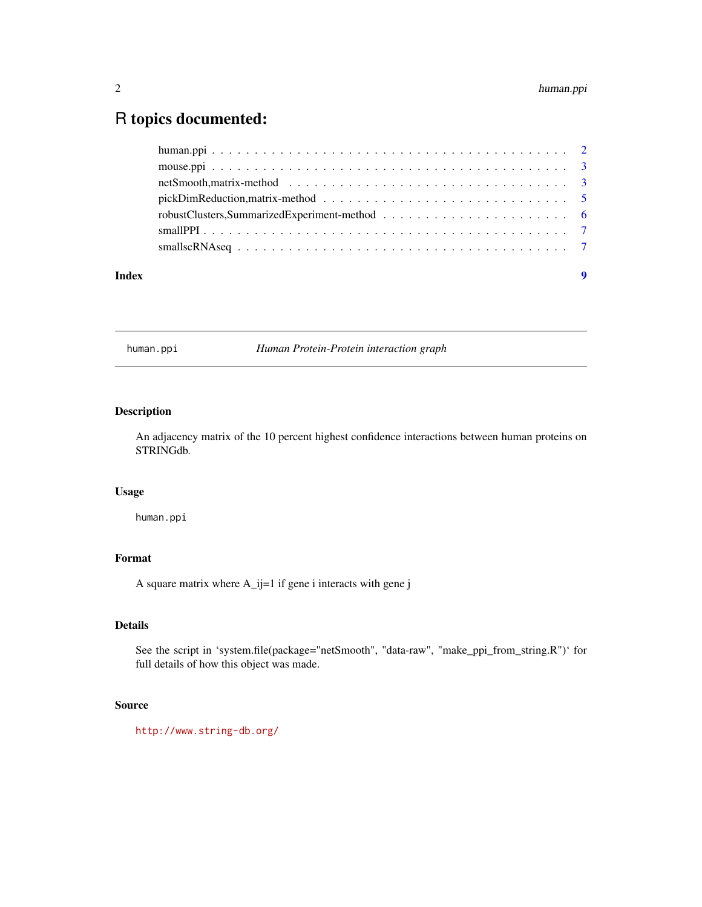#### <span id="page-1-0"></span>2 human.ppi

## R topics documented:

|       | netSmooth, matrix-method $\ldots \ldots \ldots \ldots \ldots \ldots \ldots \ldots \ldots \ldots \ldots \ldots \ldots$ |   |
|-------|-----------------------------------------------------------------------------------------------------------------------|---|
|       | pickDimReduction, matrix-method $\ldots \ldots \ldots \ldots \ldots \ldots \ldots \ldots \ldots \ldots \ldots \ldots$ |   |
|       |                                                                                                                       |   |
|       |                                                                                                                       |   |
|       |                                                                                                                       |   |
| Index |                                                                                                                       | 9 |

human.ppi *Human Protein-Protein interaction graph*

#### Description

An adjacency matrix of the 10 percent highest confidence interactions between human proteins on STRINGdb.

#### Usage

human.ppi

#### Format

A square matrix where A\_ij=1 if gene i interacts with gene j

#### Details

See the script in 'system.file(package="netSmooth", "data-raw", "make\_ppi\_from\_string.R")' for full details of how this object was made.

#### Source

<http://www.string-db.org/>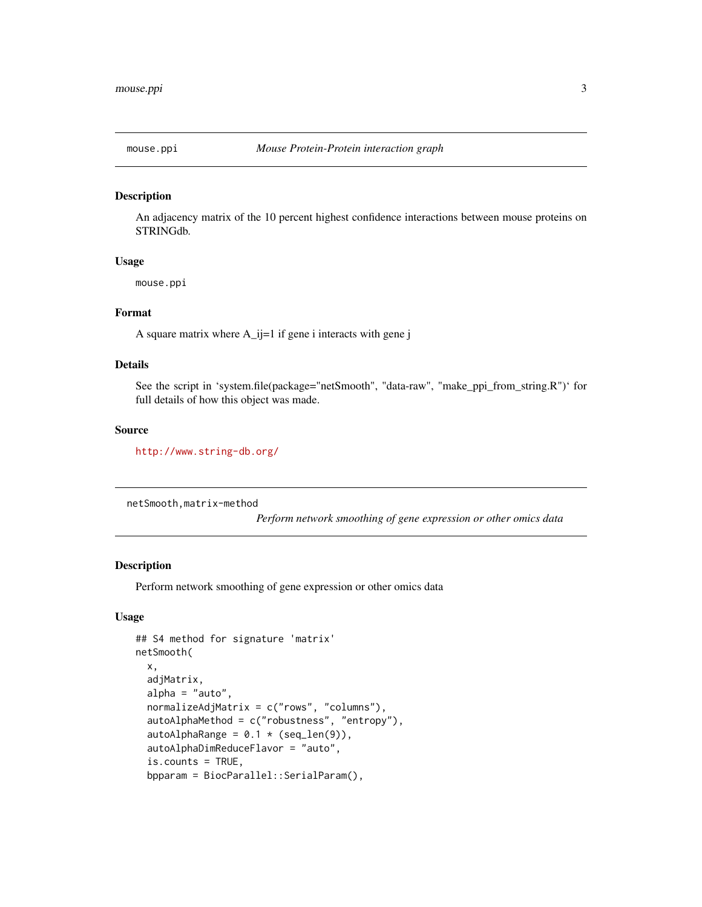<span id="page-2-0"></span>

#### Description

An adjacency matrix of the 10 percent highest confidence interactions between mouse proteins on STRINGdb.

#### Usage

mouse.ppi

#### Format

A square matrix where A\_ij=1 if gene i interacts with gene j

#### Details

See the script in 'system.file(package="netSmooth", "data-raw", "make\_ppi\_from\_string.R")' for full details of how this object was made.

#### Source

<http://www.string-db.org/>

netSmooth,matrix-method

*Perform network smoothing of gene expression or other omics data*

#### Description

Perform network smoothing of gene expression or other omics data

#### Usage

```
## S4 method for signature 'matrix'
netSmooth(
  x,
  adjMatrix,
  alpha = "auto",normalizeAdjMatrix = c("rows", "columns"),
  autoAlphaMethod = c("robustness", "entropy"),
  autoAlphaRange = 0.1 \times (seq\_len(9)),
  autoAlphaDimReduceFlavor = "auto",
  is.counts = TRUE,
  bpparam = BiocParallel::SerialParam(),
```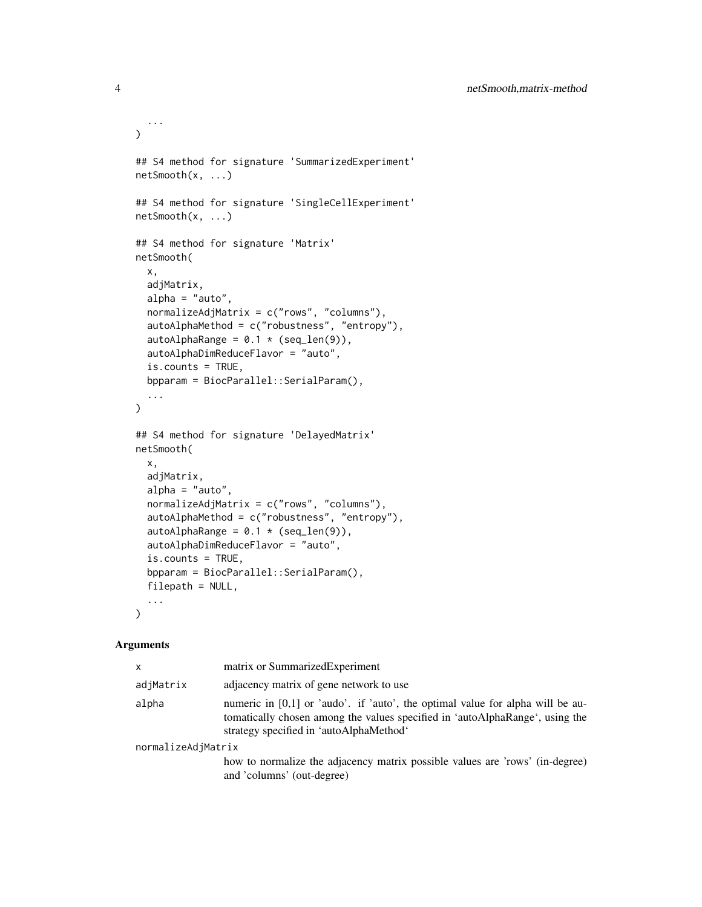```
...
\lambda## S4 method for signature 'SummarizedExperiment'
netSmooth(x, ...)
## S4 method for signature 'SingleCellExperiment'
netSmooth(x, ...)
## S4 method for signature 'Matrix'
netSmooth(
  x,
  adjMatrix,
  alpha = "auto",normalizeAdjMatrix = c("rows", "columns"),
  autoAlphaMethod = c("robustness", "entropy"),
  autoAlphaRange = 0.1 \times (seq\_len(9)),
  autoAlphaDimReduceFlavor = "auto",
  is.counts = TRUE,
  bpparam = BiocParallel::SerialParam(),
  ...
\lambda## S4 method for signature 'DelayedMatrix'
netSmooth(
  x,
  adjMatrix,
  alpha = "auto",normalizeAdjMatrix = c("rows", "columns"),
  autoAlphaMethod = c("robustness", "entropy"),
  autoAlphaRange = 0.1 * (seq\_len(9)),autoAlphaDimReduceFlavor = "auto",
  is.counts = TRUE,
  bpparam = BiocParallel::SerialParam(),
  filepath = NULL,
  ...
\lambda
```
#### Arguments

| x                  | matrix or SummarizedExperiment                                                                                                                                                                              |  |  |  |
|--------------------|-------------------------------------------------------------------------------------------------------------------------------------------------------------------------------------------------------------|--|--|--|
| adjMatrix          | adjacency matrix of gene network to use                                                                                                                                                                     |  |  |  |
| alpha              | numeric in $[0,1]$ or 'audo'. if 'auto', the optimal value for alpha will be au-<br>tomatically chosen among the values specified in 'autoAlphaRange', using the<br>strategy specified in 'autoAlphaMethod' |  |  |  |
| normalizeAdjMatrix |                                                                                                                                                                                                             |  |  |  |
|                    | how to normalize the adjacency matrix possible values are 'rows' (in-degree)<br>and 'columns' (out-degree)                                                                                                  |  |  |  |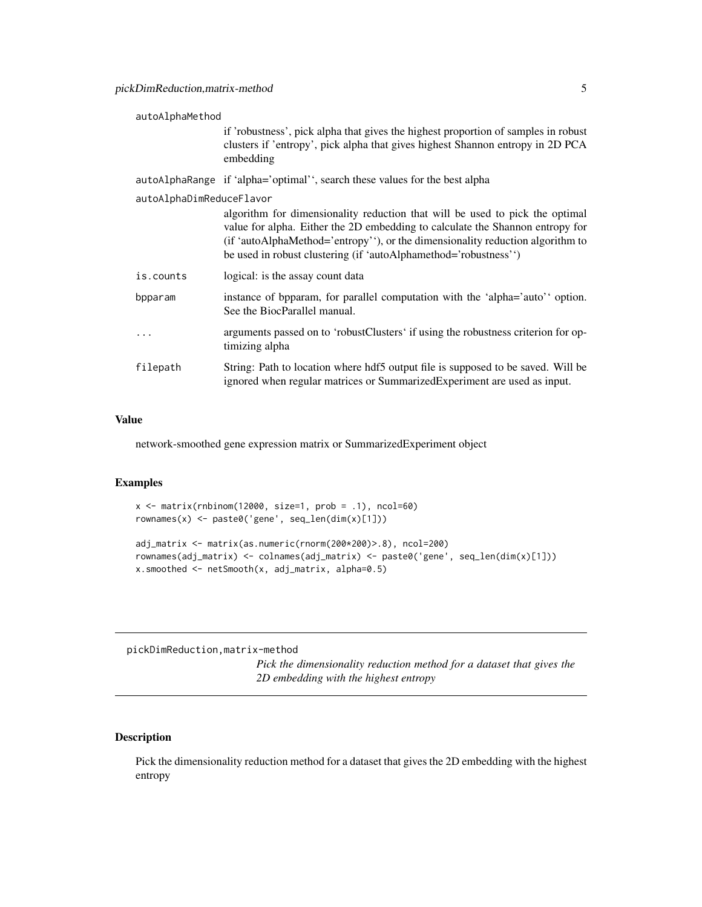#### <span id="page-4-0"></span>autoAlphaMethod

if 'robustness', pick alpha that gives the highest proportion of samples in robust clusters if 'entropy', pick alpha that gives highest Shannon entropy in 2D PCA embedding

autoAlphaRange if 'alpha='optimal'', search these values for the best alpha

autoAlphaDimReduceFlavor

|           | algorithm for dimensionality reduction that will be used to pick the optimal<br>value for alpha. Either the 2D embedding to calculate the Shannon entropy for<br>(if 'autoAlphaMethod='entropy''), or the dimensionality reduction algorithm to<br>be used in robust clustering (if 'autoAlphamethod='robustness'') |
|-----------|---------------------------------------------------------------------------------------------------------------------------------------------------------------------------------------------------------------------------------------------------------------------------------------------------------------------|
| is.counts | logical: is the assay count data                                                                                                                                                                                                                                                                                    |
| bpparam   | instance of byparam, for parallel computation with the 'alpha='auto' option.<br>See the BiocParallel manual.                                                                                                                                                                                                        |
| $\cdots$  | arguments passed on to 'robustClusters' if using the robustness criterion for op-<br>timizing alpha                                                                                                                                                                                                                 |
| filepath  | String: Path to location where hdf5 output file is supposed to be saved. Will be<br>ignored when regular matrices or Summarized Experiment are used as input.                                                                                                                                                       |

#### Value

network-smoothed gene expression matrix or SummarizedExperiment object

#### Examples

```
x \le matrix(rnbinom(12000, size=1, prob = .1), ncol=60)
rownames(x) <- paste0('gene', seq_len(dim(x)[1]))
```

```
adj_matrix <- matrix(as.numeric(rnorm(200*200)>.8), ncol=200)
rownames(adj_matrix) <- colnames(adj_matrix) <- paste0('gene', seq_len(dim(x)[1]))
x.s moothed \leq netSmooth(x, adj_matrix, alpha=0.5)
```
pickDimReduction,matrix-method

*Pick the dimensionality reduction method for a dataset that gives the 2D embedding with the highest entropy*

#### Description

Pick the dimensionality reduction method for a dataset that gives the 2D embedding with the highest entropy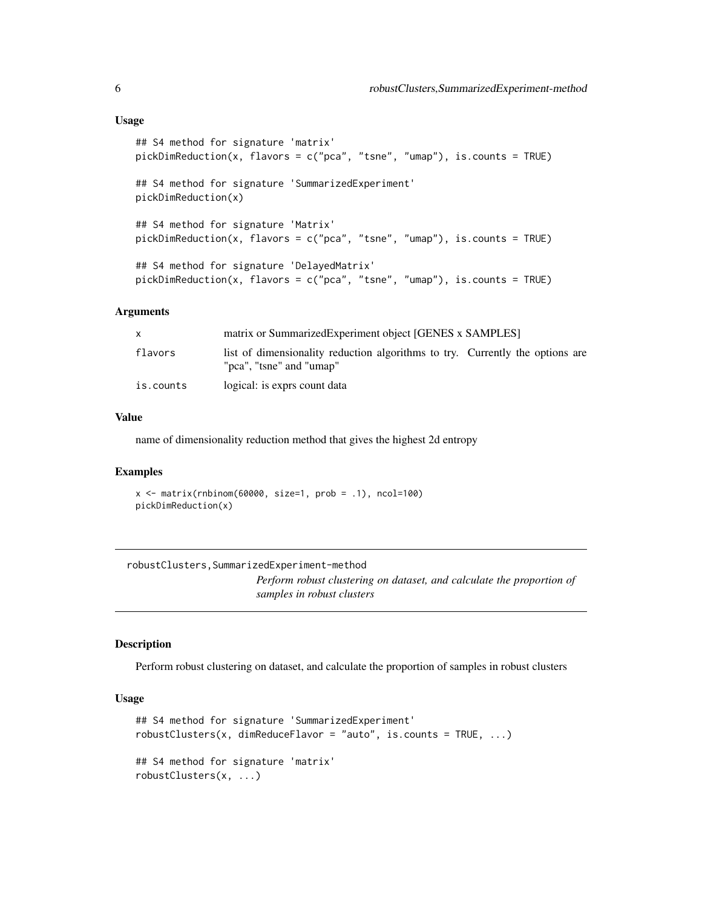```
## S4 method for signature 'matrix'
pickDimReduction(x, flavors = c("pca", "tsne", "umap"), is.counts = TRUE)
## S4 method for signature 'SummarizedExperiment'
pickDimReduction(x)
## S4 method for signature 'Matrix'
pickDimReduction(x, flavors = c("pca", "tsne", "umap"), is.counts = TRUE)
## S4 method for signature 'DelayedMatrix'
pickDimReduction(x, flavors = c("pca", "tsne", "umap"), is.counts = TRUE)
```
#### Arguments

|           | matrix or SummarizedExperiment object [GENES x SAMPLES]                                                   |
|-----------|-----------------------------------------------------------------------------------------------------------|
| flavors   | list of dimensionality reduction algorithms to try. Currently the options are<br>"pca", "tsne" and "umap" |
| is.counts | logical: is exprs count data                                                                              |

#### Value

name of dimensionality reduction method that gives the highest 2d entropy

#### Examples

```
x \le - matrix(rnbinom(60000, size=1, prob = .1), ncol=100)
pickDimReduction(x)
```

```
robustClusters,SummarizedExperiment-method
                          Perform robust clustering on dataset, and calculate the proportion of
                          samples in robust clusters
```
#### Description

Perform robust clustering on dataset, and calculate the proportion of samples in robust clusters

#### Usage

```
## S4 method for signature 'SummarizedExperiment'
robustClusters(x, dimReduceFlavor = "auto", is.counts = TRUE, ...)
## S4 method for signature 'matrix'
robustClusters(x, ...)
```
<span id="page-5-0"></span>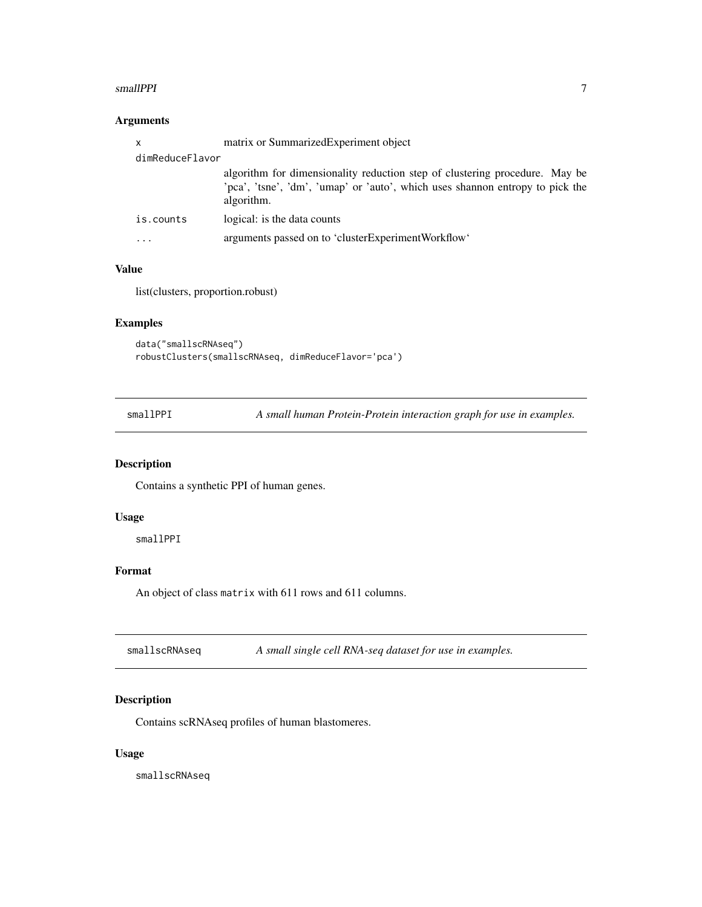#### <span id="page-6-0"></span>smallPPI 7

#### Arguments

| $\boldsymbol{\mathsf{x}}$ | matrix or SummarizedExperiment object                                                                                                                                      |  |  |  |
|---------------------------|----------------------------------------------------------------------------------------------------------------------------------------------------------------------------|--|--|--|
| dimReduceFlavor           |                                                                                                                                                                            |  |  |  |
|                           | algorithm for dimensionality reduction step of clustering procedure. May be<br>'pca', 'tsne', 'dm', 'umap' or 'auto', which uses shannon entropy to pick the<br>algorithm. |  |  |  |
| is.counts                 | logical: is the data counts                                                                                                                                                |  |  |  |
| .                         | arguments passed on to 'clusterExperimentWorkflow'                                                                                                                         |  |  |  |

#### Value

list(clusters, proportion.robust)

#### Examples

```
data("smallscRNAseq")
robustClusters(smallscRNAseq, dimReduceFlavor='pca')
```
smallPPI *A small human Protein-Protein interaction graph for use in examples.*

#### Description

Contains a synthetic PPI of human genes.

#### Usage

smallPPI

#### Format

An object of class matrix with 611 rows and 611 columns.

smallscRNAseq **A** small single cell RNA-seq dataset for use in examples.

#### Description

Contains scRNAseq profiles of human blastomeres.

#### Usage

smallscRNAseq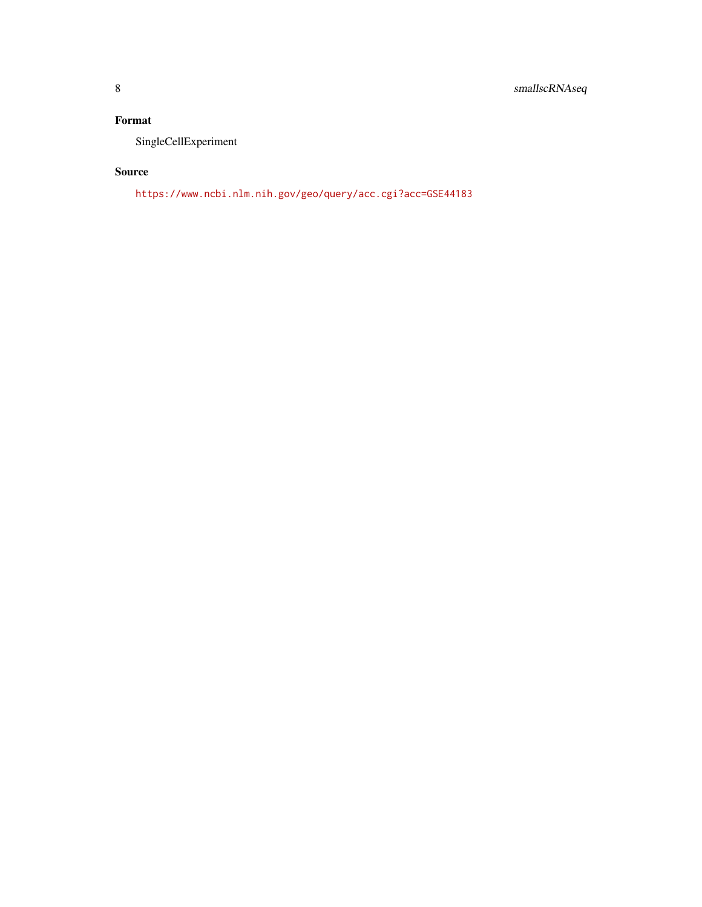### Format

SingleCellExperiment

#### Source

<https://www.ncbi.nlm.nih.gov/geo/query/acc.cgi?acc=GSE44183>